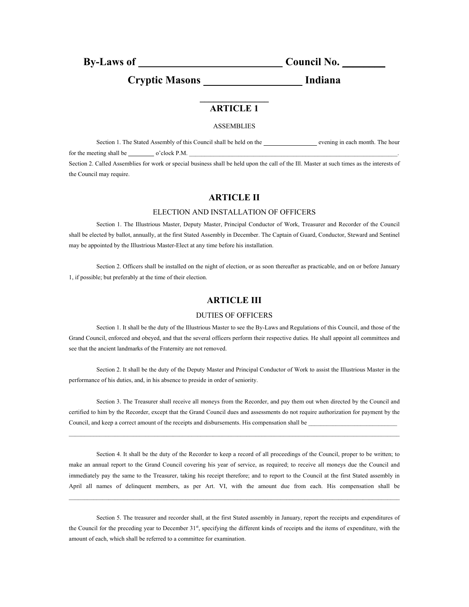**By-Laws of Council No.** 

Cryptic Masons **Indiana** 

## **\_\_\_\_\_\_\_\_\_\_\_\_\_\_\_ ARTICLE 1**

#### ASSEMBLIES

Section 1. The Stated Assembly of this Council shall be held on the evening in each month. The hour for the meeting shall be  $\qquad \qquad$  o'clock P.M. Section 2. Called Assemblies for work or special business shall be held upon the call of the Ill. Master at such times as the interests of the Council may require.

## **ARTICLE II**

#### ELECTION AND INSTALLATION OF OFFICERS

Section 1. The Illustrious Master, Deputy Master, Principal Conductor of Work, Treasurer and Recorder of the Council shall be elected by ballot, annually, at the first Stated Assembly in December. The Captain of Guard, Conductor, Steward and Sentinel may be appointed by the Illustrious Master-Elect at any time before his installation.

Section 2. Officers shall be installed on the night of election, or as soon thereafter as practicable, and on or before January 1, if possible; but preferably at the time of their election.

## **ARTICLE III**

#### DUTIES OF OFFICERS

Section 1. It shall be the duty of the Illustrious Master to see the By-Laws and Regulations of this Council, and those of the Grand Council, enforced and obeyed, and that the several officers perform their respective duties. He shall appoint all committees and see that the ancient landmarks of the Fraternity are not removed.

Section 2. It shall be the duty of the Deputy Master and Principal Conductor of Work to assist the Illustrious Master in the performance of his duties, and, in his absence to preside in order of seniority.

Section 3. The Treasurer shall receive all moneys from the Recorder, and pay them out when directed by the Council and certified to him by the Recorder, except that the Grand Council dues and assessments do not require authorization for payment by the Council, and keep a correct amount of the receipts and disbursements. His compensation shall be

 $\_$  , and the state of the state of the state of the state of the state of the state of the state of the state of the state of the state of the state of the state of the state of the state of the state of the state of the

Section 4. It shall be the duty of the Recorder to keep a record of all proceedings of the Council, proper to be written; to make an annual report to the Grand Council covering his year of service, as required; to receive all moneys due the Council and immediately pay the same to the Treasurer, taking his receipt therefore; and to report to the Council at the first Stated assembly in April all names of delinquent members, as per Art. VI, with the amount due from each. His compensation shall be

 $\mathcal{L}_\mathcal{L} = \{ \mathcal{L}_\mathcal{L} = \{ \mathcal{L}_\mathcal{L} = \{ \mathcal{L}_\mathcal{L} = \{ \mathcal{L}_\mathcal{L} = \{ \mathcal{L}_\mathcal{L} = \{ \mathcal{L}_\mathcal{L} = \{ \mathcal{L}_\mathcal{L} = \{ \mathcal{L}_\mathcal{L} = \{ \mathcal{L}_\mathcal{L} = \{ \mathcal{L}_\mathcal{L} = \{ \mathcal{L}_\mathcal{L} = \{ \mathcal{L}_\mathcal{L} = \{ \mathcal{L}_\mathcal{L} = \{ \mathcal{L}_\mathcal{$ 

Section 5. The treasurer and recorder shall, at the first Stated assembly in January, report the receipts and expenditures of the Council for the preceding year to December 31<sup>st</sup>, specifying the different kinds of receipts and the items of expenditure, with the amount of each, which shall be referred to a committee for examination.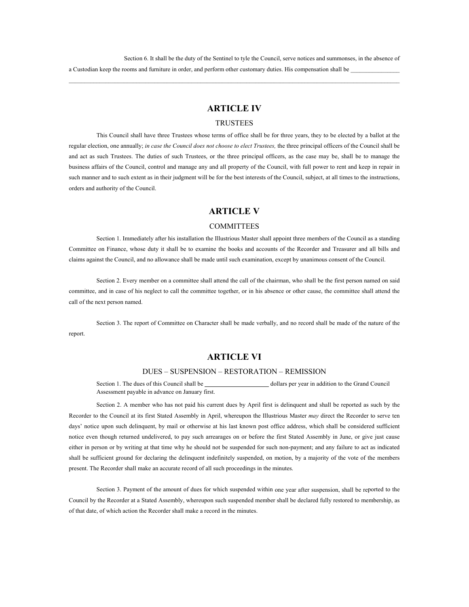Section 6. It shall be the duty of the Sentinel to tyle the Council, serve notices and summonses, in the absence of a Custodian keep the rooms and furniture in order, and perform other customary duties. His compensation shall be

 $\mathcal{L}_\text{max} = \frac{1}{2} \sum_{i=1}^{n} \mathcal{L}_\text{max} = \frac{1}{2} \sum_{i=1}^{n} \mathcal{L}_\text{max} = \frac{1}{2} \sum_{i=1}^{n} \mathcal{L}_\text{max} = \frac{1}{2} \sum_{i=1}^{n} \mathcal{L}_\text{max} = \frac{1}{2} \sum_{i=1}^{n} \mathcal{L}_\text{max} = \frac{1}{2} \sum_{i=1}^{n} \mathcal{L}_\text{max} = \frac{1}{2} \sum_{i=1}^{n} \mathcal{L}_\text{max} = \frac{1}{$ 

## **ARTICLE IV**

#### TRUSTEES

This Council shall have three Trustees whose terms of office shall be for three years, they to be elected by a ballot at the regular election, one annually; *in case the Council does not choose to elect Trustees,* the three principal officers of the Council shall be and act as such Trustees. The duties of such Trustees, or the three principal officers, as the case may be, shall be to manage the business affairs of the Council, control and manage any and all property of the Council, with full power to rent and keep in repair in such manner and to such extent as in their judgment will be for the best interests of the Council, subject, at all times to the instructions, orders and authority of the Council.

### **ARTICLE V**

#### COMMITTEES

Section 1. Immediately after his installation the Illustrious Master shall appoint three members of the Council as a standing Committee on Finance, whose duty it shall be to examine the books and accounts of the Recorder and Treasurer and all bills and claims against the Council, and no allowance shall be made until such examination, except by unanimous consent of the Council.

Section 2. Every member on a committee shall attend the call of the chairman, who shall be the first person named on said committee, and in case of his neglect to call the committee together, or in his absence or other cause, the committee shall attend the call of the next person named.

Section 3. The report of Committee on Character shall be made verbally, and no record shall be made of the nature of the report.

### **ARTICLE VI**

### DUES – SUSPENSION – RESTORATION – REMISSION

Section 1. The dues of this Council shall be  $\qquad \qquad$  dollars per year in addition to the Grand Council Assessment payable in advance on January first.

Section 2. A member who has not paid his current dues by April first is delinquent and shall be reported as such by the Recorder to the Council at its first Stated Assembly in April, whereupon the Illustrious Master *may* direct the Recorder to serve ten days' notice upon such delinquent, by mail or otherwise at his last known post office address, which shall be considered sufficient notice even though returned undelivered, to pay such arrearages on or before the first Stated Assembly in June, or give just cause either in person or by writing at that time why he should not be suspended for such non-payment; and any failure to act as indicated shall be sufficient ground for declaring the delinquent indefinitely suspended, on motion, by a majority of the vote of the members present. The Recorder shall make an accurate record of all such proceedings in the minutes.

Section 3. Payment of the amount of dues for which suspended within one year after suspension, shall be reported to the Council by the Recorder at a Stated Assembly, whereupon such suspended member shall be declared fully restored to membership, as of that date, of which action the Recorder shall make a record in the minutes.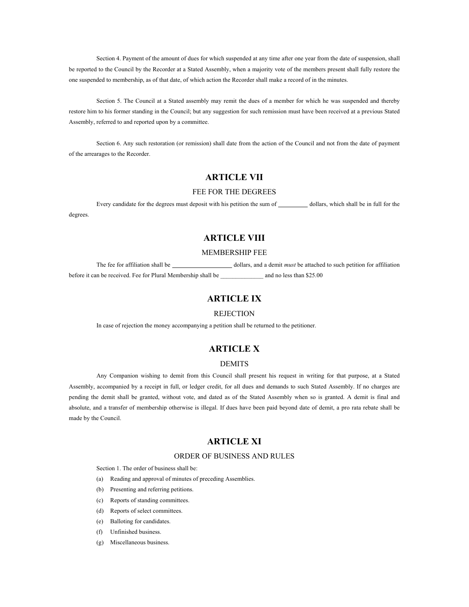Section 4. Payment of the amount of dues for which suspended at any time after one year from the date of suspension, shall be reported to the Council by the Recorder at a Stated Assembly, when a majority vote of the members present shall fully restore the one suspended to membership, as of that date, of which action the Recorder shall make a record of in the minutes.

Section 5. The Council at a Stated assembly may remit the dues of a member for which he was suspended and thereby restore him to his former standing in the Council; but any suggestion for such remission must have been received at a previous Stated Assembly, referred to and reported upon by a committee.

Section 6. Any such restoration (or remission) shall date from the action of the Council and not from the date of payment of the arrearages to the Recorder.

## **ARTICLE VII**

#### FEE FOR THE DEGREES

Every candidate for the degrees must deposit with his petition the sum of dollars, which shall be in full for the degrees.

## **ARTICLE VIII**

#### MEMBERSHIP FEE

The fee for affiliation shall be dollars, and a demit *must* be attached to such petition for affiliation before it can be received. Fee for Plural Membership shall be  $\qquad \qquad$  and no less than \$25.00

## **ARTICLE IX**

#### **REJECTION**

In case of rejection the money accompanying a petition shall be returned to the petitioner.

## **ARTICLE X**

### DEMITS

Any Companion wishing to demit from this Council shall present his request in writing for that purpose, at a Stated Assembly, accompanied by a receipt in full, or ledger credit, for all dues and demands to such Stated Assembly. If no charges are pending the demit shall be granted, without vote, and dated as of the Stated Assembly when so is granted. A demit is final and absolute, and a transfer of membership otherwise is illegal. If dues have been paid beyond date of demit, a pro rata rebate shall be made by the Council.

### **ARTICLE XI**

## ORDER OF BUSINESS AND RULES

Section 1. The order of business shall be:

- (a) Reading and approval of minutes of preceding Assemblies.
- (b) Presenting and referring petitions.
- (c) Reports of standing committees.
- (d) Reports of select committees.
- (e) Balloting for candidates.
- (f) Unfinished business.
- (g) Miscellaneous business.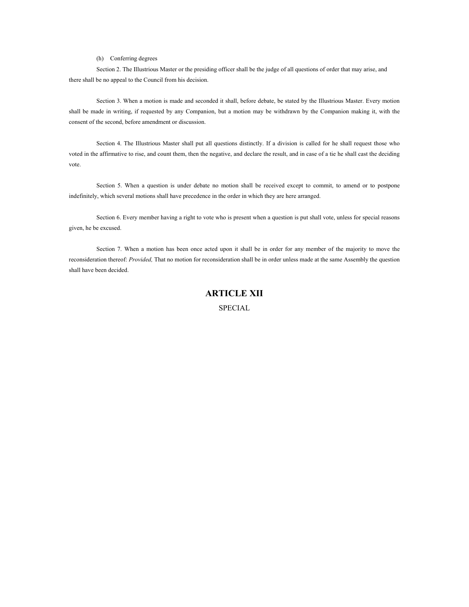(h) Conferring degrees

Section 2. The Illustrious Master or the presiding officer shall be the judge of all questions of order that may arise, and there shall be no appeal to the Council from his decision.

Section 3. When a motion is made and seconded it shall, before debate, be stated by the Illustrious Master. Every motion shall be made in writing, if requested by any Companion, but a motion may be withdrawn by the Companion making it, with the consent of the second, before amendment or discussion.

Section 4. The Illustrious Master shall put all questions distinctly. If a division is called for he shall request those who voted in the affirmative to rise, and count them, then the negative, and declare the result, and in case of a tie he shall cast the deciding vote.

Section 5. When a question is under debate no motion shall be received except to commit, to amend or to postpone indefinitely, which several motions shall have precedence in the order in which they are here arranged.

Section 6. Every member having a right to vote who is present when a question is put shall vote, unless for special reasons given, he be excused.

Section 7. When a motion has been once acted upon it shall be in order for any member of the majority to move the reconsideration thereof: *Provided,* That no motion for reconsideration shall be in order unless made at the same Assembly the question shall have been decided.

## **ARTICLE XII**

**SPECIAL**